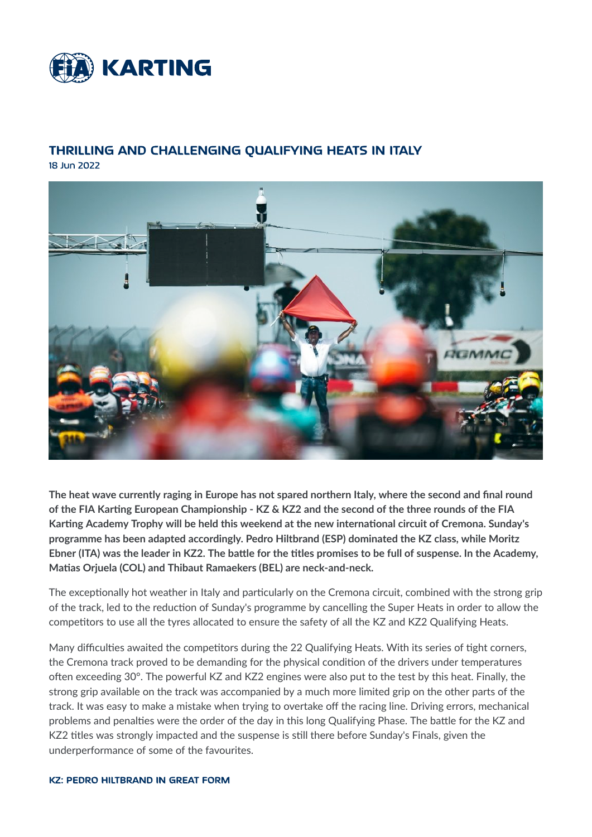

# THRILLING AND CHALLENGING QUALIFYING HEATS IN ITALY

18 Jun 2022



The heat wave currently raging in Europe has not spared northern Italy, where the second and final round of the FIA Karting European Championship - KZ & KZ2 and the second of the three rounds of the FIA Karting Academy Trophy will be held this weekend at the new international circuit of Cremona. Sunday's programme has been adapted accordingly. Pedro Hiltbrand (ESP) dominated the KZ class, while Moritz Ebner (ITA) was the leader in KZ2. The battle for the titles promises to be full of suspense. In the Academy, Matias Orjuela (COL) and Thibaut Ramaekers (BEL) are neck-and-neck.

The exceptionally hot weather in Italy and particularly on the Cremona circuit, combined with the strong grip of the track, led to the reduction of Sunday's programme by cancelling the Super Heats in order to allow the competitors to use all the tyres allocated to ensure the safety of all the KZ and KZ2 Qualifying Heats.

Many difficulties awaited the competitors during the 22 Qualifying Heats. With its series of tight corners, the Cremona track proved to be demanding for the physical condition of the drivers under temperatures often exceeding 30°. The powerful KZ and KZ2 engines were also put to the test by this heat. Finally, the strong grip available on the track was accompanied by a much more limited grip on the other parts of the track. It was easy to make a mistake when trying to overtake off the racing line. Driving errors, mechanical problems and penalties were the order of the day in this long Qualifying Phase. The battle for the KZ and KZ2 titles was strongly impacted and the suspense is still there before Sunday's Finals, given the underperformance of some of the favourites.

**KZ: PEDRO HILTBRAND IN GREAT FORM**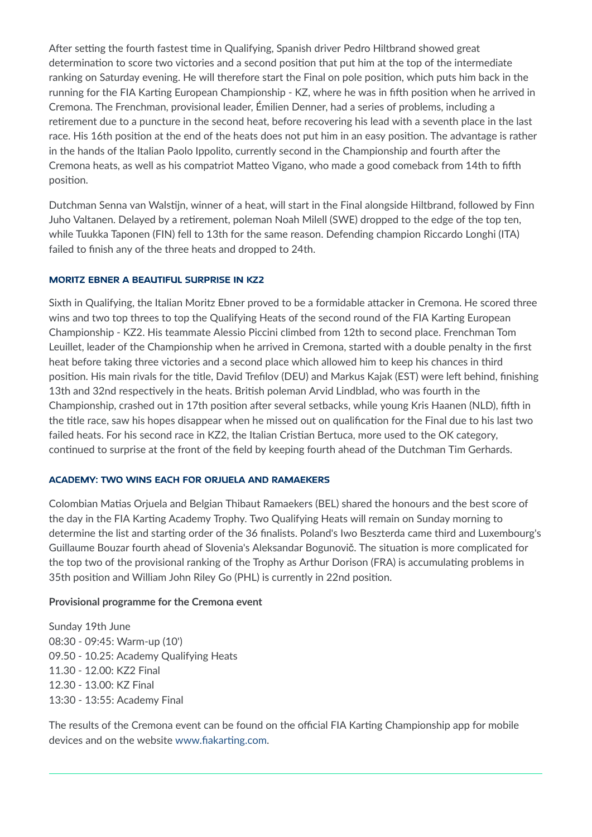After setting the fourth fastest time in Qualifying, Spanish driver Pedro Hiltbrand showed great determination to score two victories and a second position that put him at the top of the intermediate ranking on Saturday evening. He will therefore start the Final on pole position, which puts him back in the running for the FIA Karting European Championship - KZ, where he was in fifth position when he arrived in Cremona. The Frenchman, provisional leader, Emilien Denner, had a series of problems, including a retirement due to a puncture in the second heat, before recovering his lead with a seventh place in the last race. His 16th position at the end of the heats does not put him in an easy position. The advantage is rather in the hands of the Italian Paolo Ippolito, currently second in the Championship and fourth after the Cremona heats, as well as his compatriot Matteo Vigano, who made a good comeback from 14th to fifth position.

Dutchman Senna van Walstijn, winner of a heat, will start in the Final alongside Hiltbrand, followed by Finn Juho Valtanen. Delayed by a retirement, poleman Noah Milell (SWE) dropped to the edge of the top ten, while Tuukka Taponen (FIN) fell to 13th for the same reason. Defending champion Riccardo Longhi (ITA) failed to finish any of the three heats and dropped to 24th.

### **MORITZ EBNER A BEAUTIFUL SURPRISE IN KZ2**

Sixth in Qualifying, the Italian Moritz Ebner proved to be a formidable attacker in Cremona. He scored three wins and two top threes to top the Qualifying Heats of the second round of the FIA Karting European Championship - KZ2. His teammate Alessio Piccini climbed from 12th to second place. Frenchman Tom Leuillet, leader of the Championship when he arrived in Cremona, started with a double penalty in the first heat before taking three victories and a second place which allowed him to keep his chances in third position. His main rivals for the title, David Trefilov (DEU) and Markus Kajak (EST) were left behind, finishing 13th and 32nd respectively in the heats. British poleman Arvid Lindblad, who was fourth in the Championship, crashed out in 17th position after several setbacks, while young Kris Haanen (NLD), fifth in the title race, saw his hopes disappear when he missed out on qualification for the Final due to his last two failed heats. For his second race in KZ2, the Italian Cristian Bertuca, more used to the OK category, continued to surprise at the front of the field by keeping fourth ahead of the Dutchman Tim Gerhards.

### **ACADEMY: TWO WINS EACH FOR ORJUELA AND RAMAEKERS**

Colombian Matias Orjuela and Belgian Thibaut Ramaekers (BEL) shared the honours and the best score of the day in the FIA Karting Academy Trophy. Two Qualifying Heats will remain on Sunday morning to determine the list and starting order of the 36 finalists. Poland's Iwo Beszterda came third and Luxembourg's Guillaume Bouzar fourth ahead of Slovenia's Aleksandar Bogunovič. The situation is more complicated for the top two of the provisional ranking of the Trophy as Arthur Dorison (FRA) is accumulating problems in 35th position and William John Riley Go (PHL) is currently in 22nd position.

### Provisional programme for the Cremona event

Sunday 19th June 08:30 - 09:45: Warm-up (10') 09.50 - 10.25: Academy Qualifying Heats 11.30 - 12.00: KZ2 Final 12.30 - 13.00: KZ Final 13:30 - 13:55: Academy Final

The results of the Cremona event can be found on the official FIA Karting Championship app for mobile devices and on the website www.fiakarting.com.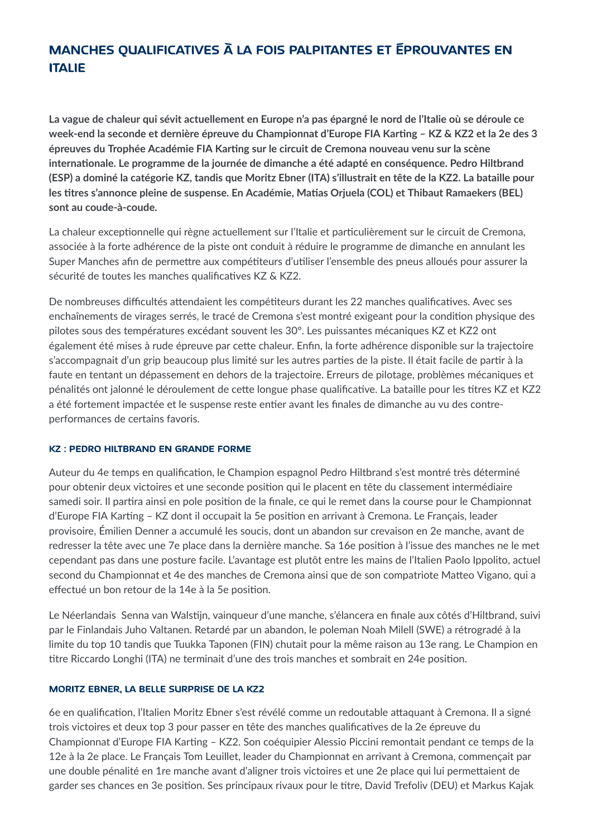# **MANCHES OUALIFICATIVES À LA FOIS PALPITANTES ET ÉPROUVANTES EN ITALIE**

La vague de chaleur qui sévit actuellement en Europe n'a pas épargné le nord de l'Italie où se déroule ce week-end la seconde et dernière épreuve du Championnat d'Europe FIA Karting - KZ & KZ2 et la 2e des 3 épreuves du Trophée Académie FIA Karting sur le circuit de Cremona nouveau venu sur la scène internationale. Le programme de la journée de dimanche a été adapté en conséquence. Pedro Hiltbrand (ESP) a dominé la catégorie KZ, tandis que Moritz Ebner (ITA) s'illustrait en tête de la KZ2. La bataille pour les titres s'annonce pleine de suspense. En Académie, Matias Orjuela (COL) et Thibaut Ramaekers (BEL) sont au coude-à-coude.

La chaleur exceptionnelle qui règne actuellement sur l'Italie et particulièrement sur le circuit de Cremona, associée à la forte adhérence de la piste ont conduit à réduire le programme de dimanche en annulant les Super Manches afin de permettre aux compétiteurs d'utiliser l'ensemble des pneus alloués pour assurer la sécurité de toutes les manches qualificatives KZ & KZ2.

De nombreuses difficultés attendaient les compétiteurs durant les 22 manches qualificatives. Avec ses enchaînements de virages serrés, le tracé de Cremona s'est montré exigeant pour la condition physique des pilotes sous des températures excédant souvent les 30°. Les puissantes mécaniques KZ et KZ2 ont également été mises à rude épreuve par cette chaleur. Enfin, la forte adhérence disponible sur la trajectoire s'accompagnait d'un grip beaucoup plus limité sur les autres parties de la piste. Il était facile de partir à la faute en tentant un dépassement en dehors de la trajectoire. Erreurs de pilotage, problèmes mécaniques et pénalités ont jalonné le déroulement de cette longue phase qualificative. La bataille pour les titres KZ et KZ2 a été fortement impactée et le suspense reste entier avant les finales de dimanche au vu des contreperformances de certains favoris.

### **KZ: PEDRO HILTBRAND EN GRANDE FORME**

Auteur du 4e temps en qualification, le Champion espagnol Pedro Hiltbrand s'est montré très déterminé pour obtenir deux victoires et une seconde position qui le placent en tête du classement intermédiaire samedi soir. Il partira ainsi en pole position de la finale, ce qui le remet dans la course pour le Championnat d'Europe FIA Karting - KZ dont il occupait la 5e position en arrivant à Cremona. Le Français, leader provisoire, Émilien Denner a accumulé les soucis, dont un abandon sur crevaison en 2e manche, avant de redresser la tête avec une 7e place dans la dernière manche. Sa 16e position à l'issue des manches ne le met cependant pas dans une posture facile. L'avantage est plutôt entre les mains de l'Italien Paolo Ippolito, actuel second du Championnat et 4e des manches de Cremona ainsi que de son compatriote Matteo Vigano, qui a effectué un bon retour de la 14e à la 5e position.

Le Néerlandais Senna van Walstijn, vainqueur d'une manche, s'élancera en finale aux côtés d'Hiltbrand, suivi par le Finlandais Juho Valtanen. Retardé par un abandon, le poleman Noah Milell (SWE) a rétrogradé à la limite du top 10 tandis que Tuukka Taponen (FIN) chutait pour la même raison au 13e rang. Le Champion en titre Riccardo Longhi (ITA) ne terminait d'une des trois manches et sombrait en 24e position.

### MORITZ EBNER, LA BELLE SURPRISE DE LA KZ2

6e en qualification, l'Italien Moritz Ebner s'est révélé comme un redoutable attaquant à Cremona. Il a signé trois victoires et deux top 3 pour passer en tête des manches qualificatives de la 2e épreuve du Championnat d'Europe FIA Karting - KZ2. Son coéquipier Alessio Piccini remontait pendant ce temps de la 12e à la 2e place. Le Français Tom Leuillet, leader du Championnat en arrivant à Cremona, commençait par une double pénalité en 1re manche avant d'aligner trois victoires et une 2e place qui lui permettaient de garder ses chances en 3e position. Ses principaux rivaux pour le titre, David Trefoliv (DEU) et Markus Kajak